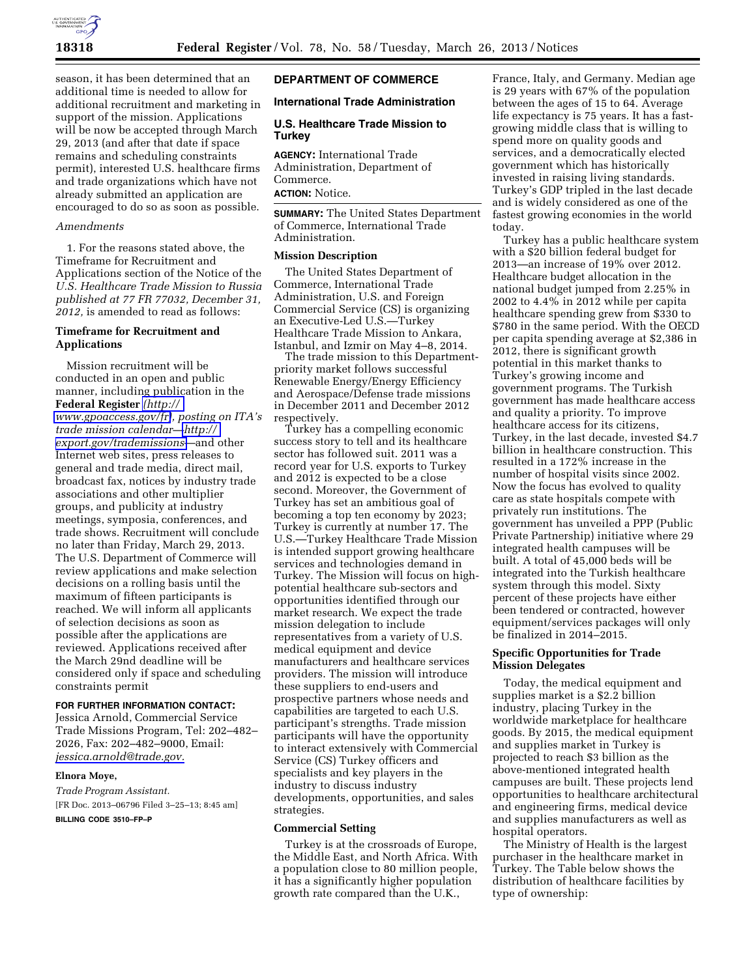

season, it has been determined that an additional time is needed to allow for additional recruitment and marketing in support of the mission. Applications will be now be accepted through March 29, 2013 (and after that date if space remains and scheduling constraints permit), interested U.S. healthcare firms and trade organizations which have not already submitted an application are encouraged to do so as soon as possible.

### *Amendments*

1. For the reasons stated above, the Timeframe for Recruitment and Applications section of the Notice of the *U.S. Healthcare Trade Mission to Russia published at 77 FR 77032, December 31, 2012,* is amended to read as follows:

## **Timeframe for Recruitment and Applications**

Mission recruitment will be conducted in an open and public manner, including publication in the **Federal Register** *[\(http://](http://www.gpoaccess.gov/fr)  [www.gpoaccess.gov/fr\)](http://www.gpoaccess.gov/fr), posting on ITA's trade mission calendar[—http://](http://export.gov/trademissions)  [export.gov/trademissions](http://export.gov/trademissions)*—and other Internet web sites, press releases to general and trade media, direct mail, broadcast fax, notices by industry trade associations and other multiplier groups, and publicity at industry meetings, symposia, conferences, and trade shows. Recruitment will conclude no later than Friday, March 29, 2013. The U.S. Department of Commerce will review applications and make selection decisions on a rolling basis until the maximum of fifteen participants is reached. We will inform all applicants of selection decisions as soon as possible after the applications are reviewed. Applications received after the March 29nd deadline will be considered only if space and scheduling constraints permit

## **FOR FURTHER INFORMATION CONTACT:**

Jessica Arnold, Commercial Service Trade Missions Program, Tel: 202–482– 2026, Fax: 202–482–9000, Email: *[jessica.arnold@trade.gov.](mailto:jessica.arnold@trade.gov)* 

#### **Elnora Moye,**

*Trade Program Assistant.*  [FR Doc. 2013–06796 Filed 3–25–13; 8:45 am] **BILLING CODE 3510–FP–P** 

## **DEPARTMENT OF COMMERCE**

## **International Trade Administration**

## **U.S. Healthcare Trade Mission to Turkey**

**AGENCY:** International Trade Administration, Department of Commerce. **ACTION:** Notice.

**SUMMARY:** The United States Department of Commerce, International Trade Administration.

### **Mission Description**

The United States Department of Commerce, International Trade Administration, U.S. and Foreign Commercial Service (CS) is organizing an Executive-Led U.S.—Turkey Healthcare Trade Mission to Ankara, Istanbul, and Izmir on May 4–8, 2014.

The trade mission to this Departmentpriority market follows successful Renewable Energy/Energy Efficiency and Aerospace/Defense trade missions in December 2011 and December 2012 respectively.

Turkey has a compelling economic success story to tell and its healthcare sector has followed suit. 2011 was a record year for U.S. exports to Turkey and 2012 is expected to be a close second. Moreover, the Government of Turkey has set an ambitious goal of becoming a top ten economy by 2023; Turkey is currently at number 17. The U.S.—Turkey Healthcare Trade Mission is intended support growing healthcare services and technologies demand in Turkey. The Mission will focus on highpotential healthcare sub-sectors and opportunities identified through our market research. We expect the trade mission delegation to include representatives from a variety of U.S. medical equipment and device manufacturers and healthcare services providers. The mission will introduce these suppliers to end-users and prospective partners whose needs and capabilities are targeted to each U.S. participant's strengths. Trade mission participants will have the opportunity to interact extensively with Commercial Service (CS) Turkey officers and specialists and key players in the industry to discuss industry developments, opportunities, and sales strategies.

### **Commercial Setting**

Turkey is at the crossroads of Europe, the Middle East, and North Africa. With a population close to 80 million people, it has a significantly higher population growth rate compared than the U.K.,

France, Italy, and Germany. Median age is 29 years with 67% of the population between the ages of 15 to 64. Average life expectancy is 75 years. It has a fastgrowing middle class that is willing to spend more on quality goods and services, and a democratically elected government which has historically invested in raising living standards. Turkey's GDP tripled in the last decade and is widely considered as one of the fastest growing economies in the world today.

Turkey has a public healthcare system with a \$20 billion federal budget for 2013—an increase of 19% over 2012. Healthcare budget allocation in the national budget jumped from 2.25% in 2002 to 4.4% in 2012 while per capita healthcare spending grew from \$330 to \$780 in the same period. With the OECD per capita spending average at \$2,386 in 2012, there is significant growth potential in this market thanks to Turkey's growing income and government programs. The Turkish government has made healthcare access and quality a priority. To improve healthcare access for its citizens, Turkey, in the last decade, invested \$4.7 billion in healthcare construction. This resulted in a 172% increase in the number of hospital visits since 2002. Now the focus has evolved to quality care as state hospitals compete with privately run institutions. The government has unveiled a PPP (Public Private Partnership) initiative where 29 integrated health campuses will be built. A total of 45,000 beds will be integrated into the Turkish healthcare system through this model. Sixty percent of these projects have either been tendered or contracted, however equipment/services packages will only be finalized in 2014–2015.

#### **Specific Opportunities for Trade Mission Delegates**

Today, the medical equipment and supplies market is a \$2.2 billion industry, placing Turkey in the worldwide marketplace for healthcare goods. By 2015, the medical equipment and supplies market in Turkey is projected to reach \$3 billion as the above-mentioned integrated health campuses are built. These projects lend opportunities to healthcare architectural and engineering firms, medical device and supplies manufacturers as well as hospital operators.

The Ministry of Health is the largest purchaser in the healthcare market in Turkey. The Table below shows the distribution of healthcare facilities by type of ownership: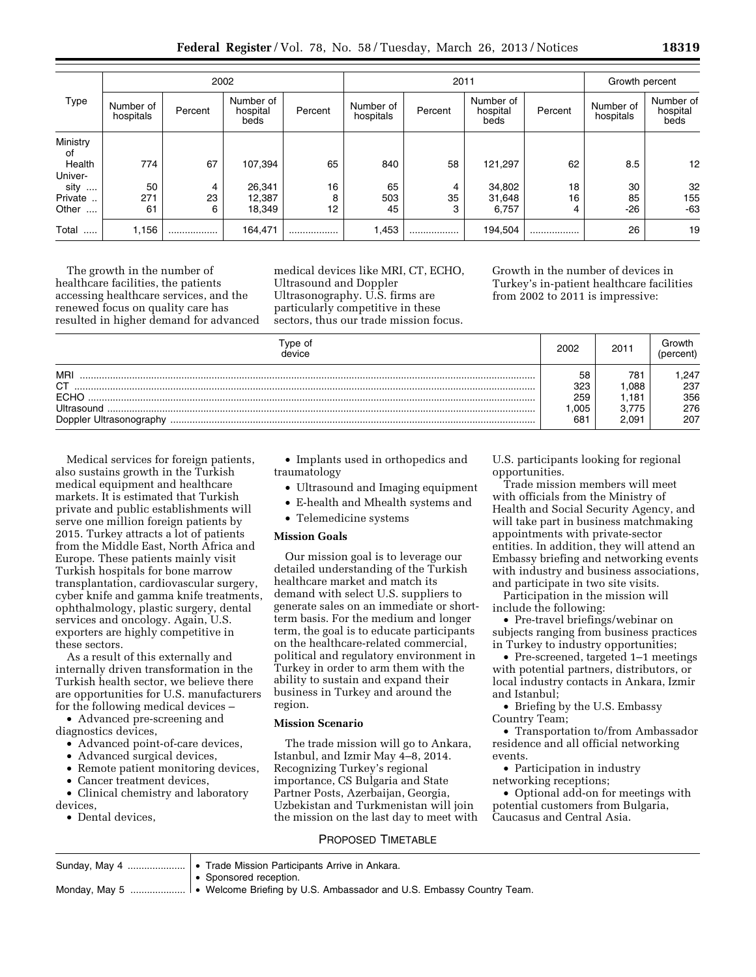**Federal Register** / Vol. 78, No. 58 / Tuesday, March 26, 2013 / Notices **18319** 

|                   | 2002                   |         |                               |         | 2011                   |         |                               |         | Growth percent         |                               |
|-------------------|------------------------|---------|-------------------------------|---------|------------------------|---------|-------------------------------|---------|------------------------|-------------------------------|
| Type              | Number of<br>hospitals | Percent | Number of<br>hospital<br>beds | Percent | Number of<br>hospitals | Percent | Number of<br>hospital<br>beds | Percent | Number of<br>hospitals | Number of<br>hospital<br>beds |
| Ministry<br>οf    |                        |         |                               |         |                        |         |                               |         |                        |                               |
| Health<br>Univer- | 774                    | 67      | 107,394                       | 65      | 840                    | 58      | 121,297                       | 62      | 8.5                    | 12                            |
| sity<br>$\cdots$  | 50                     | 4       | 26,341                        | 16      | 65                     | 4       | 34.802                        | 18      | 30                     | 32                            |
| Private           | 271                    | 23      | 12,387                        | 8       | 503                    | 35      | 31,648                        | 16      | 85                     | 155                           |
| Other<br>$\cdots$ | 61                     | 6       | 18,349                        | 12      | 45                     | 3       | 6,757                         | 4       | $-26$                  | $-63$                         |
| Total<br>         | 1,156                  |         | 164,471                       |         | 1,453                  | .       | 194,504                       |         | 26                     | 19                            |

The growth in the number of healthcare facilities, the patients accessing healthcare services, and the renewed focus on quality care has resulted in higher demand for advanced medical devices like MRI, CT, ECHO, Ultrasound and Doppler Ultrasonography. U.S. firms are particularly competitive in these sectors, thus our trade mission focus.

Growth in the number of devices in Turkey's in-patient healthcare facilities from 2002 to 2011 is impressive:

| vpe of<br>device                                                         | 2002                           | 2011                                              | Growth<br>percent                |
|--------------------------------------------------------------------------|--------------------------------|---------------------------------------------------|----------------------------------|
| MRI<br><b>CT</b><br><b>FCHO</b><br>Ultrasound<br>Doppler Ultrasonography | 58<br>323<br>259<br>.005<br>68 | 781<br>.088<br>.181<br>3.775<br>2.09 <sup>1</sup> | .247<br>237<br>356<br>276<br>207 |

Medical services for foreign patients, also sustains growth in the Turkish medical equipment and healthcare markets. It is estimated that Turkish private and public establishments will serve one million foreign patients by 2015. Turkey attracts a lot of patients from the Middle East, North Africa and Europe. These patients mainly visit Turkish hospitals for bone marrow transplantation, cardiovascular surgery, cyber knife and gamma knife treatments, ophthalmology, plastic surgery, dental services and oncology. Again, U.S. exporters are highly competitive in these sectors.

As a result of this externally and internally driven transformation in the Turkish health sector, we believe there are opportunities for U.S. manufacturers for the following medical devices –

• Advanced pre-screening and diagnostics devices,

- Advanced point-of-care devices,
- Advanced surgical devices,
- Remote patient monitoring devices,
- Cancer treatment devices,

• Clinical chemistry and laboratory devices,

• Dental devices,

• Implants used in orthopedics and traumatology

- Ultrasound and Imaging equipment
- E-health and Mhealth systems and
- Telemedicine systems

## **Mission Goals**

Our mission goal is to leverage our detailed understanding of the Turkish healthcare market and match its demand with select U.S. suppliers to generate sales on an immediate or shortterm basis. For the medium and longer term, the goal is to educate participants on the healthcare-related commercial, political and regulatory environment in Turkey in order to arm them with the ability to sustain and expand their business in Turkey and around the region.

### **Mission Scenario**

The trade mission will go to Ankara, Istanbul, and Izmir May 4–8, 2014. Recognizing Turkey's regional importance, CS Bulgaria and State Partner Posts, Azerbaijan, Georgia, Uzbekistan and Turkmenistan will join the mission on the last day to meet with U.S. participants looking for regional opportunities.

Trade mission members will meet with officials from the Ministry of Health and Social Security Agency, and will take part in business matchmaking appointments with private-sector entities. In addition, they will attend an Embassy briefing and networking events with industry and business associations, and participate in two site visits.

Participation in the mission will include the following:

• Pre-travel briefings/webinar on subjects ranging from business practices in Turkey to industry opportunities;

• Pre-screened, targeted 1–1 meetings with potential partners, distributors, or local industry contacts in Ankara, Izmir and Istanbul;

• Briefing by the U.S. Embassy Country Team;

• Transportation to/from Ambassador residence and all official networking events.

• Participation in industry networking receptions;

• Optional add-on for meetings with potential customers from Bulgaria, Caucasus and Central Asia.

## PROPOSED TIMETABLE

| Sunday, May 4    • Trade Mission Participants Arrive in Ankara.                       |  |  |  |  |
|---------------------------------------------------------------------------------------|--|--|--|--|
| • Sponsored reception.                                                                |  |  |  |  |
| Monday, May 5    • Welcome Briefing by U.S. Ambassador and U.S. Embassy Country Team. |  |  |  |  |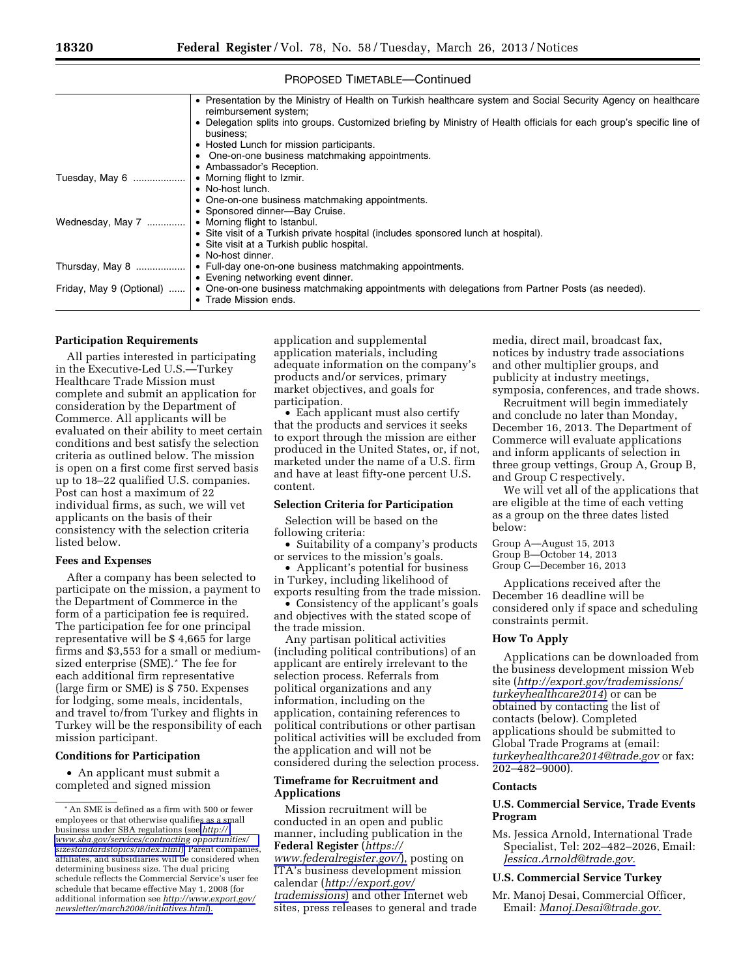|                          | • Presentation by the Ministry of Health on Turkish healthcare system and Social Security Agency on healthcare<br>reimbursement system;<br>Delegation splits into groups. Customized briefing by Ministry of Health officials for each group's specific line of |
|--------------------------|-----------------------------------------------------------------------------------------------------------------------------------------------------------------------------------------------------------------------------------------------------------------|
|                          | business:                                                                                                                                                                                                                                                       |
|                          | • Hosted Lunch for mission participants.                                                                                                                                                                                                                        |
|                          | • One-on-one business matchmaking appointments.                                                                                                                                                                                                                 |
|                          | • Ambassador's Reception.                                                                                                                                                                                                                                       |
| Tuesday, May 6           | • Morning flight to Izmir.                                                                                                                                                                                                                                      |
|                          | • No-host lunch.                                                                                                                                                                                                                                                |
|                          | • One-on-one business matchmaking appointments.                                                                                                                                                                                                                 |
|                          | • Sponsored dinner-Bay Cruise.                                                                                                                                                                                                                                  |
| Wednesday, May 7         | • Morning flight to Istanbul.                                                                                                                                                                                                                                   |
|                          | • Site visit of a Turkish private hospital (includes sponsored lunch at hospital).                                                                                                                                                                              |
|                          | • Site visit at a Turkish public hospital.                                                                                                                                                                                                                      |
|                          | • No-host dinner.                                                                                                                                                                                                                                               |
| Thursday, May 8          | • Full-day one-on-one business matchmaking appointments.                                                                                                                                                                                                        |
|                          | • Evening networking event dinner.                                                                                                                                                                                                                              |
| Friday, May 9 (Optional) | • One-on-one business matchmaking appointments with delegations from Partner Posts (as needed).                                                                                                                                                                 |
|                          | • Trade Mission ends.                                                                                                                                                                                                                                           |
|                          |                                                                                                                                                                                                                                                                 |

## PROPOSED TIMETABLE—Continued

#### **Participation Requirements**

All parties interested in participating in the Executive-Led U.S.—Turkey Healthcare Trade Mission must complete and submit an application for consideration by the Department of Commerce. All applicants will be evaluated on their ability to meet certain conditions and best satisfy the selection criteria as outlined below. The mission is open on a first come first served basis up to 18–22 qualified U.S. companies. Post can host a maximum of 22 individual firms, as such, we will vet applicants on the basis of their consistency with the selection criteria listed below.

## **Fees and Expenses**

After a company has been selected to participate on the mission, a payment to the Department of Commerce in the form of a participation fee is required. The participation fee for one principal representative will be \$ 4,665 for large firms and \$3,553 for a small or mediumsized enterprise (SME).\* The fee for each additional firm representative (large firm or SME) is \$ 750. Expenses for lodging, some meals, incidentals, and travel to/from Turkey and flights in Turkey will be the responsibility of each mission participant.

### **Conditions for Participation**

• An applicant must submit a completed and signed mission

application and supplemental application materials, including adequate information on the company's products and/or services, primary market objectives, and goals for participation.

• Each applicant must also certify that the products and services it seeks to export through the mission are either produced in the United States, or, if not, marketed under the name of a U.S. firm and have at least fifty-one percent U.S. content.

#### **Selection Criteria for Participation**

Selection will be based on the following criteria:

• Suitability of a company's products or services to the mission's goals.

• Applicant's potential for business in Turkey, including likelihood of exports resulting from the trade mission.

• Consistency of the applicant's goals and objectives with the stated scope of the trade mission.

Any partisan political activities (including political contributions) of an applicant are entirely irrelevant to the selection process. Referrals from political organizations and any information, including on the application, containing references to political contributions or other partisan political activities will be excluded from the application and will not be considered during the selection process.

## **Timeframe for Recruitment and Applications**

Mission recruitment will be conducted in an open and public manner, including publication in the **Federal Register** (*[https://](https://www.federalregister.gov/) [www.federalregister.gov/](https://www.federalregister.gov/)*), posting on ITA's business development mission calendar (*[http://export.gov/](http://export.gov/trademissions) [trademissions](http://export.gov/trademissions)*) and other Internet web sites, press releases to general and trade media, direct mail, broadcast fax, notices by industry trade associations and other multiplier groups, and publicity at industry meetings, symposia, conferences, and trade shows.

Recruitment will begin immediately and conclude no later than Monday, December 16, 2013. The Department of Commerce will evaluate applications and inform applicants of selection in three group vettings, Group A, Group B, and Group C respectively.

We will vet all of the applications that are eligible at the time of each vetting as a group on the three dates listed below:

Group A—August 15, 2013 Group B—October 14, 2013 Group C—December 16, 2013

Applications received after the December 16 deadline will be considered only if space and scheduling constraints permit.

#### **How To Apply**

Applications can be downloaded from the business development mission Web site (*[http://export.gov/trademissions/](http://export.gov/trademissions/turkeyhealthcare2014) [turkeyhealthcare2014](http://export.gov/trademissions/turkeyhealthcare2014)*) or can be obtained by contacting the list of contacts (below). Completed applications should be submitted to Global Trade Programs at (email: *[turkeyhealthcare2014@trade.gov](mailto:turkeyhealthcare2014@trade.gov)* or fax: 202–482–9000).

#### **Contacts**

## **U.S. Commercial Service, Trade Events Program**

Ms. Jessica Arnold, International Trade Specialist, Tel: 202–482–2026, Email: *[Jessica.Arnold@trade.gov.](mailto:Jessica.Arnold@trade.gov)* 

### **U.S. Commercial Service Turkey**

Mr. Manoj Desai, Commercial Officer, Email: *[Manoj.Desai@trade.gov.](mailto:Manoj.Desai@trade.gov)* 

<sup>\*</sup>An SME is defined as a firm with 500 or fewer employees or that otherwise qualifies as a small business under SBA regulations (see *[http://](http://www.sba.gov/services/contracting_opportunities/sizestandardstopic/index.html)  [www.sba.gov/services/contracting opportunities/](http://www.sba.gov/services/contracting_opportunities/sizestandardstopic/index.html)  [sizestandardstopics/index.html](http://www.sba.gov/services/contracting_opportunities/sizestandardstopic/index.html)*). Parent companies, affiliates, and subsidiaries will be considered when determining business size. The dual pricing schedule reflects the Commercial Service's user fee schedule that became effective May 1, 2008 (for additional information see *[http://www.export.gov/](http://www.export.gov/newsletter/march2008/initiatives.html)  [newsletter/march2008/initiatives.html](http://www.export.gov/newsletter/march2008/initiatives.html)*).